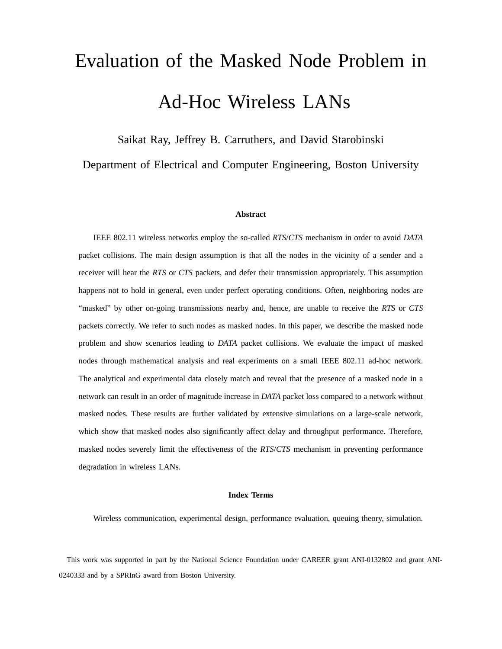# Evaluation of the Masked Node Problem in Ad-Hoc Wireless LANs

Saikat Ray, Jeffrey B. Carruthers, and David Starobinski

Department of Electrical and Computer Engineering, Boston University

#### **Abstract**

IEEE 802.11 wireless networks employ the so-called *RTS*/*CTS* mechanism in order to avoid *DATA* packet collisions. The main design assumption is that all the nodes in the vicinity of a sender and a receiver will hear the *RTS* or *CTS* packets, and defer their transmission appropriately. This assumption happens not to hold in general, even under perfect operating conditions. Often, neighboring nodes are "masked" by other on-going transmissions nearby and, hence, are unable to receive the *RTS* or *CTS* packets correctly. We refer to such nodes as masked nodes. In this paper, we describe the masked node problem and show scenarios leading to *DATA* packet collisions. We evaluate the impact of masked nodes through mathematical analysis and real experiments on a small IEEE 802.11 ad-hoc network. The analytical and experimental data closely match and reveal that the presence of a masked node in a network can result in an order of magnitude increase in *DATA* packet loss compared to a network without masked nodes. These results are further validated by extensive simulations on a large-scale network, which show that masked nodes also significantly affect delay and throughput performance. Therefore, masked nodes severely limit the effectiveness of the *RTS*/*CTS* mechanism in preventing performance degradation in wireless LANs.

#### **Index Terms**

Wireless communication, experimental design, performance evaluation, queuing theory, simulation.

This work was supported in part by the National Science Foundation under CAREER grant ANI-0132802 and grant ANI-0240333 and by a SPRInG award from Boston University.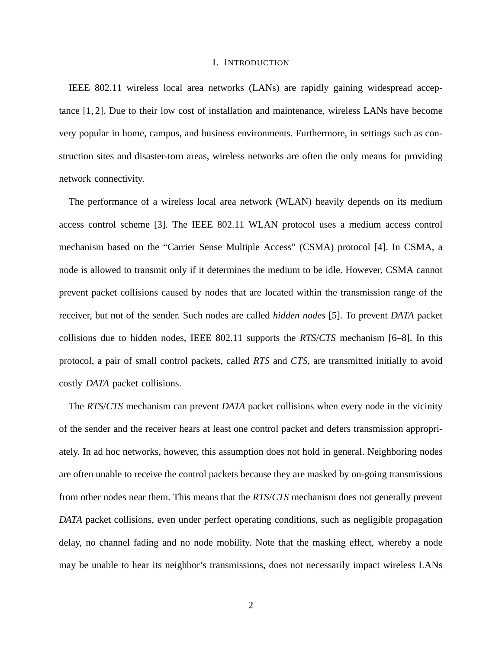#### I. INTRODUCTION

IEEE 802.11 wireless local area networks (LANs) are rapidly gaining widespread acceptance [1, 2]. Due to their low cost of installation and maintenance, wireless LANs have become very popular in home, campus, and business environments. Furthermore, in settings such as construction sites and disaster-torn areas, wireless networks are often the only means for providing network connectivity.

The performance of a wireless local area network (WLAN) heavily depends on its medium access control scheme [3]. The IEEE 802.11 WLAN protocol uses a medium access control mechanism based on the "Carrier Sense Multiple Access" (CSMA) protocol [4]. In CSMA, a node is allowed to transmit only if it determines the medium to be idle. However, CSMA cannot prevent packet collisions caused by nodes that are located within the transmission range of the receiver, but not of the sender. Such nodes are called *hidden nodes* [5]. To prevent *DATA* packet collisions due to hidden nodes, IEEE 802.11 supports the *RTS*/*CTS* mechanism [6–8]. In this protocol, a pair of small control packets, called *RTS* and *CTS*, are transmitted initially to avoid costly *DATA* packet collisions.

The *RTS*/*CTS* mechanism can prevent *DATA* packet collisions when every node in the vicinity of the sender and the receiver hears at least one control packet and defers transmission appropriately. In ad hoc networks, however, this assumption does not hold in general. Neighboring nodes are often unable to receive the control packets because they are masked by on-going transmissions from other nodes near them. This means that the *RTS*/*CTS* mechanism does not generally prevent *DATA* packet collisions, even under perfect operating conditions, such as negligible propagation delay, no channel fading and no node mobility. Note that the masking effect, whereby a node may be unable to hear its neighbor's transmissions, does not necessarily impact wireless LANs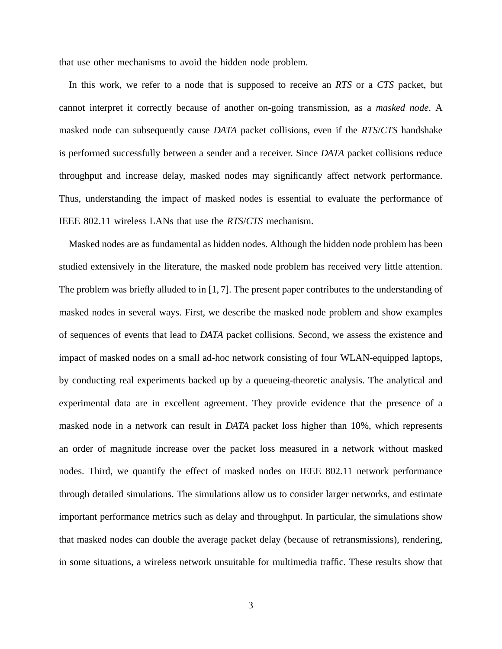that use other mechanisms to avoid the hidden node problem.

In this work, we refer to a node that is supposed to receive an *RTS* or a *CTS* packet, but cannot interpret it correctly because of another on-going transmission, as a *masked node*. A masked node can subsequently cause *DATA* packet collisions, even if the *RTS*/*CTS* handshake is performed successfully between a sender and a receiver. Since *DATA* packet collisions reduce throughput and increase delay, masked nodes may significantly affect network performance. Thus, understanding the impact of masked nodes is essential to evaluate the performance of IEEE 802.11 wireless LANs that use the *RTS*/*CTS* mechanism.

Masked nodes are as fundamental as hidden nodes. Although the hidden node problem has been studied extensively in the literature, the masked node problem has received very little attention. The problem was briefly alluded to in [1, 7]. The present paper contributes to the understanding of masked nodes in several ways. First, we describe the masked node problem and show examples of sequences of events that lead to *DATA* packet collisions. Second, we assess the existence and impact of masked nodes on a small ad-hoc network consisting of four WLAN-equipped laptops, by conducting real experiments backed up by a queueing-theoretic analysis. The analytical and experimental data are in excellent agreement. They provide evidence that the presence of a masked node in a network can result in *DATA* packet loss higher than 10%, which represents an order of magnitude increase over the packet loss measured in a network without masked nodes. Third, we quantify the effect of masked nodes on IEEE 802.11 network performance through detailed simulations. The simulations allow us to consider larger networks, and estimate important performance metrics such as delay and throughput. In particular, the simulations show that masked nodes can double the average packet delay (because of retransmissions), rendering, in some situations, a wireless network unsuitable for multimedia traffic. These results show that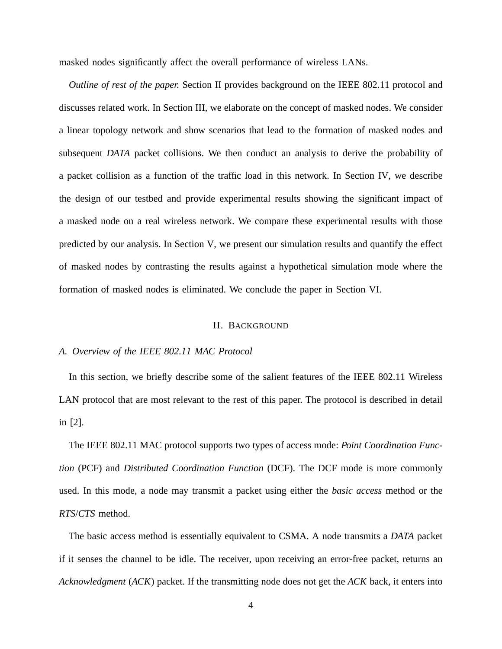masked nodes significantly affect the overall performance of wireless LANs.

*Outline of rest of the paper.* Section II provides background on the IEEE 802.11 protocol and discusses related work. In Section III, we elaborate on the concept of masked nodes. We consider a linear topology network and show scenarios that lead to the formation of masked nodes and subsequent *DATA* packet collisions. We then conduct an analysis to derive the probability of a packet collision as a function of the traffic load in this network. In Section IV, we describe the design of our testbed and provide experimental results showing the significant impact of a masked node on a real wireless network. We compare these experimental results with those predicted by our analysis. In Section V, we present our simulation results and quantify the effect of masked nodes by contrasting the results against a hypothetical simulation mode where the formation of masked nodes is eliminated. We conclude the paper in Section VI.

## II. BACKGROUND

## *A. Overview of the IEEE 802.11 MAC Protocol*

In this section, we briefly describe some of the salient features of the IEEE 802.11 Wireless LAN protocol that are most relevant to the rest of this paper. The protocol is described in detail in [2].

The IEEE 802.11 MAC protocol supports two types of access mode: *Point Coordination Function* (PCF) and *Distributed Coordination Function* (DCF). The DCF mode is more commonly used. In this mode, a node may transmit a packet using either the *basic access* method or the *RTS*/*CTS* method.

The basic access method is essentially equivalent to CSMA. A node transmits a *DATA* packet if it senses the channel to be idle. The receiver, upon receiving an error-free packet, returns an *Acknowledgment* (*ACK*) packet. If the transmitting node does not get the *ACK* back, it enters into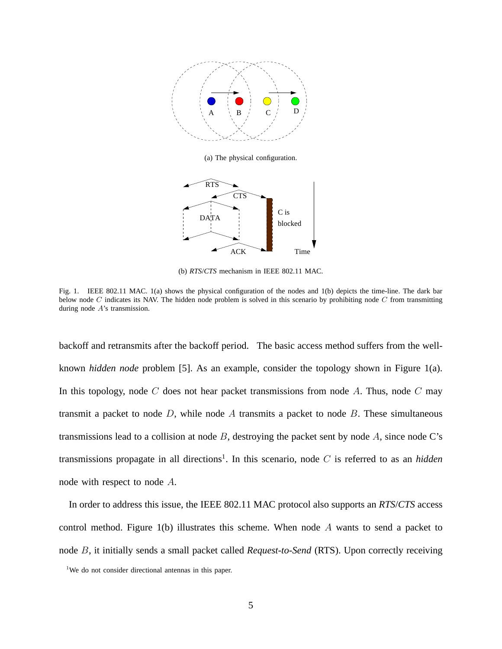

(a) The physical configuration.



(b) *RTS*/*CTS* mechanism in IEEE 802.11 MAC.

Fig. 1. IEEE 802.11 MAC. 1(a) shows the physical configuration of the nodes and 1(b) depicts the time-line. The dark bar below node  $C$  indicates its NAV. The hidden node problem is solved in this scenario by prohibiting node  $C$  from transmitting during node A's transmission.

backoff and retransmits after the backoff period. The basic access method suffers from the wellknown *hidden node* problem [5]. As an example, consider the topology shown in Figure 1(a). In this topology, node  $C$  does not hear packet transmissions from node  $A$ . Thus, node  $C$  may transmit a packet to node  $D$ , while node  $A$  transmits a packet to node  $B$ . These simultaneous transmissions lead to a collision at node  $B$ , destroying the packet sent by node  $A$ , since node C's transmissions propagate in all directions<sup>1</sup>. In this scenario, node C is referred to as an *hidden* node with respect to node A.

In order to address this issue, the IEEE 802.11 MAC protocol also supports an *RTS*/*CTS* access control method. Figure 1(b) illustrates this scheme. When node A wants to send a packet to node B, it initially sends a small packet called *Request-to-Send* (RTS). Upon correctly receiving

<sup>&</sup>lt;sup>1</sup>We do not consider directional antennas in this paper.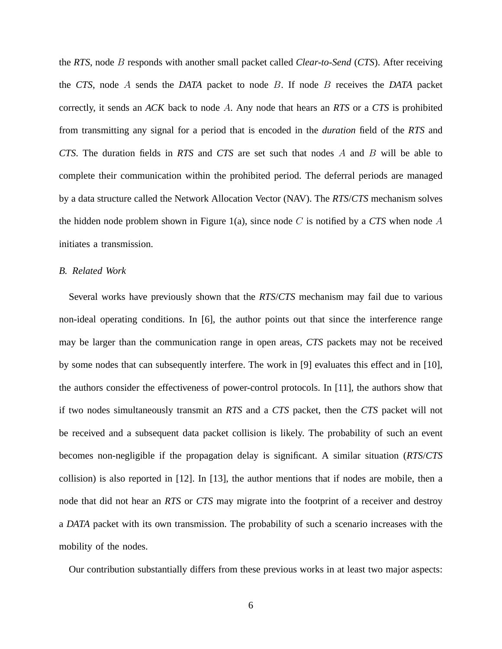the *RTS*, node B responds with another small packet called *Clear-to-Send* (*CTS*). After receiving the *CTS*, node A sends the *DATA* packet to node B. If node B receives the *DATA* packet correctly, it sends an *ACK* back to node A. Any node that hears an *RTS* or a *CTS* is prohibited from transmitting any signal for a period that is encoded in the *duration* field of the *RTS* and *CTS*. The duration fields in *RTS* and *CTS* are set such that nodes A and B will be able to complete their communication within the prohibited period. The deferral periods are managed by a data structure called the Network Allocation Vector (NAV). The *RTS*/*CTS* mechanism solves the hidden node problem shown in Figure 1(a), since node C is notified by a *CTS* when node A initiates a transmission.

## *B. Related Work*

Several works have previously shown that the *RTS*/*CTS* mechanism may fail due to various non-ideal operating conditions. In [6], the author points out that since the interference range may be larger than the communication range in open areas, *CTS* packets may not be received by some nodes that can subsequently interfere. The work in [9] evaluates this effect and in [10], the authors consider the effectiveness of power-control protocols. In [11], the authors show that if two nodes simultaneously transmit an *RTS* and a *CTS* packet, then the *CTS* packet will not be received and a subsequent data packet collision is likely. The probability of such an event becomes non-negligible if the propagation delay is significant. A similar situation (*RTS*/*CTS* collision) is also reported in [12]. In [13], the author mentions that if nodes are mobile, then a node that did not hear an *RTS* or *CTS* may migrate into the footprint of a receiver and destroy a *DATA* packet with its own transmission. The probability of such a scenario increases with the mobility of the nodes.

Our contribution substantially differs from these previous works in at least two major aspects: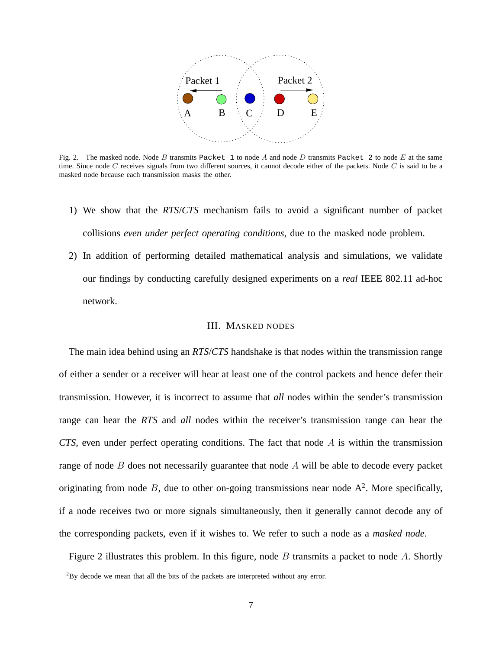

Fig. 2. The masked node. Node B transmits Packet 1 to node A and node D transmits Packet 2 to node E at the same time. Since node  $C$  receives signals from two different sources, it cannot decode either of the packets. Node  $C$  is said to be a masked node because each transmission masks the other.

- 1) We show that the *RTS*/*CTS* mechanism fails to avoid a significant number of packet collisions *even under perfect operating conditions*, due to the masked node problem.
- 2) In addition of performing detailed mathematical analysis and simulations, we validate our findings by conducting carefully designed experiments on a *real* IEEE 802.11 ad-hoc network.

#### III. MASKED NODES

The main idea behind using an *RTS*/*CTS* handshake is that nodes within the transmission range of either a sender or a receiver will hear at least one of the control packets and hence defer their transmission. However, it is incorrect to assume that *all* nodes within the sender's transmission range can hear the *RTS* and *all* nodes within the receiver's transmission range can hear the *CTS*, even under perfect operating conditions. The fact that node A is within the transmission range of node  $B$  does not necessarily guarantee that node  $A$  will be able to decode every packet originating from node B, due to other on-going transmissions near node  $A^2$ . More specifically, if a node receives two or more signals simultaneously, then it generally cannot decode any of the corresponding packets, even if it wishes to. We refer to such a node as a *masked node*.

Figure 2 illustrates this problem. In this figure, node  $B$  transmits a packet to node  $A$ . Shortly

<sup>&</sup>lt;sup>2</sup>By decode we mean that all the bits of the packets are interpreted without any error.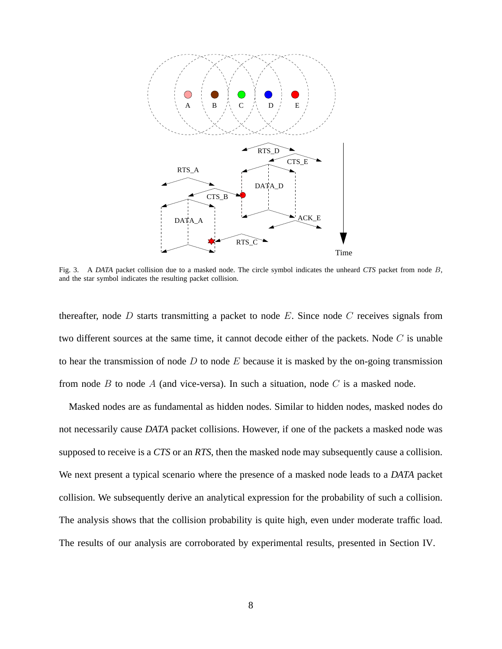

Fig. 3. A *DATA* packet collision due to a masked node. The circle symbol indicates the unheard *CTS* packet from node B, and the star symbol indicates the resulting packet collision.

thereafter, node  $D$  starts transmitting a packet to node  $E$ . Since node  $C$  receives signals from two different sources at the same time, it cannot decode either of the packets. Node  $C$  is unable to hear the transmission of node  $D$  to node  $E$  because it is masked by the on-going transmission from node B to node A (and vice-versa). In such a situation, node C is a masked node.

Masked nodes are as fundamental as hidden nodes. Similar to hidden nodes, masked nodes do not necessarily cause *DATA* packet collisions. However, if one of the packets a masked node was supposed to receive is a *CTS* or an *RTS*, then the masked node may subsequently cause a collision. We next present a typical scenario where the presence of a masked node leads to a *DATA* packet collision. We subsequently derive an analytical expression for the probability of such a collision. The analysis shows that the collision probability is quite high, even under moderate traffic load. The results of our analysis are corroborated by experimental results, presented in Section IV.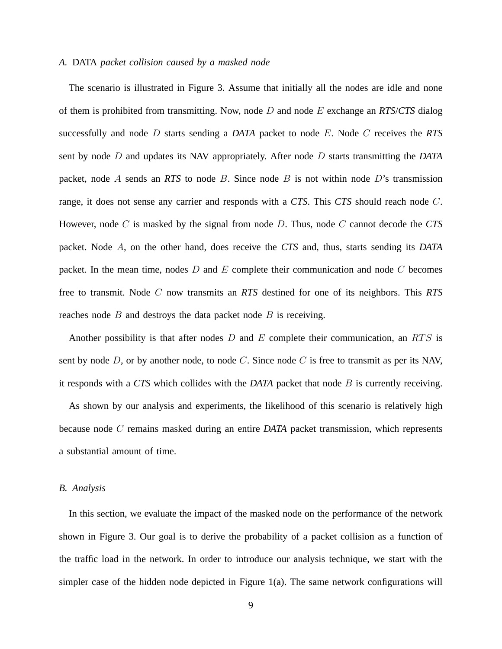## *A.* DATA *packet collision caused by a masked node*

The scenario is illustrated in Figure 3. Assume that initially all the nodes are idle and none of them is prohibited from transmitting. Now, node D and node E exchange an *RTS*/*CTS* dialog successfully and node D starts sending a *DATA* packet to node E. Node C receives the *RTS* sent by node D and updates its NAV appropriately. After node D starts transmitting the *DATA* packet, node  $A$  sends an *RTS* to node  $B$ . Since node  $B$  is not within node  $D$ 's transmission range, it does not sense any carrier and responds with a *CTS*. This *CTS* should reach node C. However, node C is masked by the signal from node D. Thus, node C cannot decode the *CTS* packet. Node A, on the other hand, does receive the *CTS* and, thus, starts sending its *DATA* packet. In the mean time, nodes  $D$  and  $E$  complete their communication and node  $C$  becomes free to transmit. Node C now transmits an *RTS* destined for one of its neighbors. This *RTS* reaches node  $B$  and destroys the data packet node  $B$  is receiving.

Another possibility is that after nodes  $D$  and  $E$  complete their communication, an RTS is sent by node  $D$ , or by another node, to node  $C$ . Since node  $C$  is free to transmit as per its NAV, it responds with a *CTS* which collides with the *DATA* packet that node B is currently receiving.

As shown by our analysis and experiments, the likelihood of this scenario is relatively high because node C remains masked during an entire *DATA* packet transmission, which represents a substantial amount of time.

# *B. Analysis*

In this section, we evaluate the impact of the masked node on the performance of the network shown in Figure 3. Our goal is to derive the probability of a packet collision as a function of the traffic load in the network. In order to introduce our analysis technique, we start with the simpler case of the hidden node depicted in Figure 1(a). The same network configurations will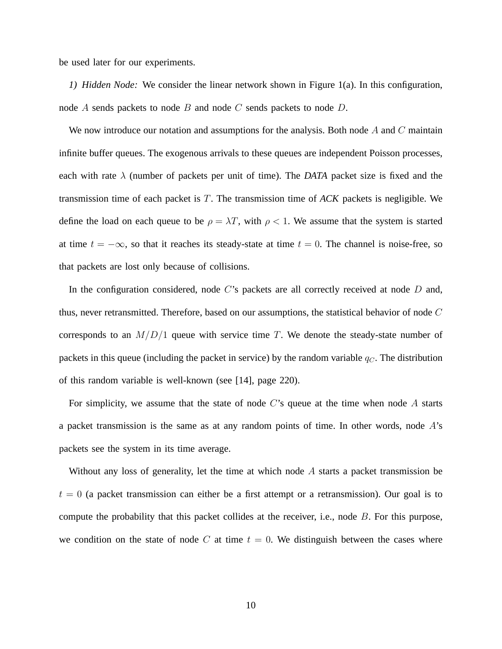be used later for our experiments.

*1) Hidden Node:* We consider the linear network shown in Figure 1(a). In this configuration, node A sends packets to node B and node C sends packets to node D.

We now introduce our notation and assumptions for the analysis. Both node  $A$  and  $C$  maintain infinite buffer queues. The exogenous arrivals to these queues are independent Poisson processes, each with rate  $\lambda$  (number of packets per unit of time). The *DATA* packet size is fixed and the transmission time of each packet is T. The transmission time of *ACK* packets is negligible. We define the load on each queue to be  $\rho = \lambda T$ , with  $\rho < 1$ . We assume that the system is started at time  $t = -\infty$ , so that it reaches its steady-state at time  $t = 0$ . The channel is noise-free, so that packets are lost only because of collisions.

In the configuration considered, node  $C$ 's packets are all correctly received at node  $D$  and, thus, never retransmitted. Therefore, based on our assumptions, the statistical behavior of node C corresponds to an  $M/D/1$  queue with service time T. We denote the steady-state number of packets in this queue (including the packet in service) by the random variable  $q_C$ . The distribution of this random variable is well-known (see [14], page 220).

For simplicity, we assume that the state of node  $C$ 's queue at the time when node  $A$  starts a packet transmission is the same as at any random points of time. In other words, node A's packets see the system in its time average.

Without any loss of generality, let the time at which node  $A$  starts a packet transmission be  $t = 0$  (a packet transmission can either be a first attempt or a retransmission). Our goal is to compute the probability that this packet collides at the receiver, i.e., node B. For this purpose, we condition on the state of node C at time  $t = 0$ . We distinguish between the cases where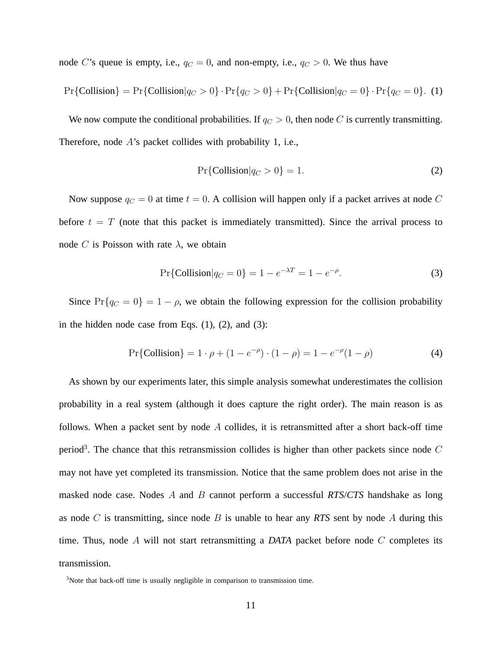node C's queue is empty, i.e.,  $q_C = 0$ , and non-empty, i.e.,  $q_C > 0$ . We thus have

$$
Pr{Collision} = Pr{Collision|q_C > 0} \cdot Pr{q_C > 0} + Pr{Collision|q_C = 0} \cdot Pr{q_C = 0}.
$$
 (1)

We now compute the conditional probabilities. If  $q_C > 0$ , then node C is currently transmitting. Therefore, node A's packet collides with probability 1, i.e.,

$$
Pr{Collision|q_C > 0} = 1.
$$
\n(2)

Now suppose  $q_C = 0$  at time  $t = 0$ . A collision will happen only if a packet arrives at node C before  $t = T$  (note that this packet is immediately transmitted). Since the arrival process to node C is Poisson with rate  $\lambda$ , we obtain

$$
\Pr\{\text{Collision}|q_C = 0\} = 1 - e^{-\lambda T} = 1 - e^{-\rho}.\tag{3}
$$

Since  $Pr{q_C = 0} = 1 - \rho$ , we obtain the following expression for the collision probability in the hidden node case from Eqs.  $(1)$ ,  $(2)$ , and  $(3)$ :

$$
Pr{Collision} = 1 \cdot \rho + (1 - e^{-\rho}) \cdot (1 - \rho) = 1 - e^{-\rho}(1 - \rho)
$$
\n(4)

As shown by our experiments later, this simple analysis somewhat underestimates the collision probability in a real system (although it does capture the right order). The main reason is as follows. When a packet sent by node  $A$  collides, it is retransmitted after a short back-off time period<sup>3</sup>. The chance that this retransmission collides is higher than other packets since node  $C$ may not have yet completed its transmission. Notice that the same problem does not arise in the masked node case. Nodes A and B cannot perform a successful *RTS*/*CTS* handshake as long as node C is transmitting, since node B is unable to hear any *RTS* sent by node A during this time. Thus, node A will not start retransmitting a *DATA* packet before node C completes its transmission.

<sup>&</sup>lt;sup>3</sup>Note that back-off time is usually negligible in comparison to transmission time.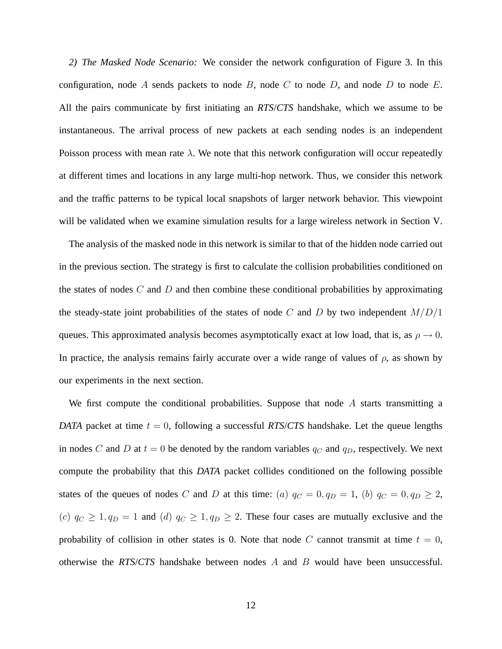*2) The Masked Node Scenario:* We consider the network configuration of Figure 3. In this configuration, node A sends packets to node B, node C to node D, and node D to node E. All the pairs communicate by first initiating an *RTS*/*CTS* handshake, which we assume to be instantaneous. The arrival process of new packets at each sending nodes is an independent Poisson process with mean rate  $\lambda$ . We note that this network configuration will occur repeatedly at different times and locations in any large multi-hop network. Thus, we consider this network and the traffic patterns to be typical local snapshots of larger network behavior. This viewpoint will be validated when we examine simulation results for a large wireless network in Section V.

The analysis of the masked node in this network is similar to that of the hidden node carried out in the previous section. The strategy is first to calculate the collision probabilities conditioned on the states of nodes  $C$  and  $D$  and then combine these conditional probabilities by approximating the steady-state joint probabilities of the states of node C and D by two independent  $M/D/1$ queues. This approximated analysis becomes asymptotically exact at low load, that is, as  $\rho \rightarrow 0$ . In practice, the analysis remains fairly accurate over a wide range of values of  $\rho$ , as shown by our experiments in the next section.

We first compute the conditional probabilities. Suppose that node  $A$  starts transmitting a *DATA* packet at time  $t = 0$ , following a successful *RTS/CTS* handshake. Let the queue lengths in nodes C and D at  $t = 0$  be denoted by the random variables  $q_C$  and  $q_D$ , respectively. We next compute the probability that this *DATA* packet collides conditioned on the following possible states of the queues of nodes C and D at this time: (a)  $q_C = 0, q_D = 1$ , (b)  $q_C = 0, q_D \ge 2$ , (c)  $q_C \ge 1, q_D = 1$  and (d)  $q_C \ge 1, q_D \ge 2$ . These four cases are mutually exclusive and the probability of collision in other states is 0. Note that node C cannot transmit at time  $t = 0$ , otherwise the *RTS*/*CTS* handshake between nodes A and B would have been unsuccessful.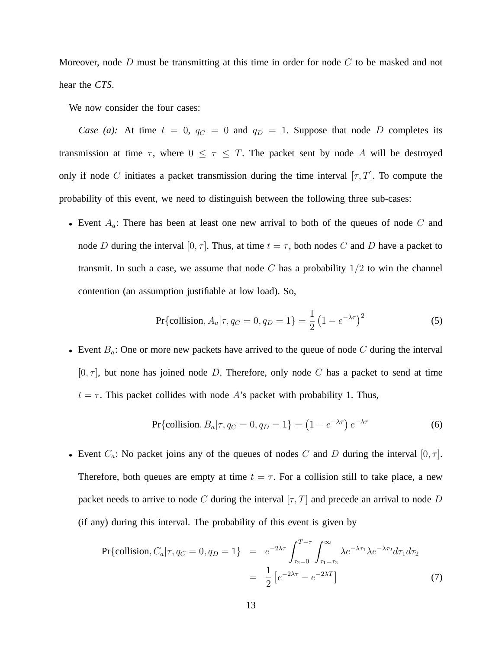Moreover, node D must be transmitting at this time in order for node  $C$  to be masked and not hear the *CTS*.

We now consider the four cases:

*Case (a):* At time  $t = 0$ ,  $q_C = 0$  and  $q_D = 1$ . Suppose that node D completes its transmission at time  $\tau$ , where  $0 \leq \tau \leq T$ . The packet sent by node A will be destroyed only if node C initiates a packet transmission during the time interval  $[\tau, T]$ . To compute the probability of this event, we need to distinguish between the following three sub-cases:

• Event  $A_a$ : There has been at least one new arrival to both of the queues of node C and node D during the interval  $[0, \tau]$ . Thus, at time  $t = \tau$ , both nodes C and D have a packet to transmit. In such a case, we assume that node C has a probability  $1/2$  to win the channel contention (an assumption justifiable at low load). So,

$$
\Pr\{\text{collision}, A_a | \tau, q_C = 0, q_D = 1\} = \frac{1}{2} \left(1 - e^{-\lambda \tau}\right)^2 \tag{5}
$$

• Event  $B_a$ : One or more new packets have arrived to the queue of node  $C$  during the interval  $[0, \tau]$ , but none has joined node D. Therefore, only node C has a packet to send at time  $t = \tau$ . This packet collides with node A's packet with probability 1. Thus,

$$
\Pr\{\text{collision}, B_a | \tau, q_C = 0, q_D = 1\} = \left(1 - e^{-\lambda \tau}\right) e^{-\lambda \tau}
$$
\n(6)

• Event  $C_a$ : No packet joins any of the queues of nodes C and D during the interval  $[0, \tau]$ . Therefore, both queues are empty at time  $t = \tau$ . For a collision still to take place, a new packet needs to arrive to node C during the interval  $[\tau, T]$  and precede an arrival to node D (if any) during this interval. The probability of this event is given by

$$
\Pr\{\text{collision}, C_a | \tau, q_C = 0, q_D = 1\} = e^{-2\lambda \tau} \int_{\tau_2=0}^{T-\tau} \int_{\tau_1=\tau_2}^{\infty} \lambda e^{-\lambda \tau_1} \lambda e^{-\lambda \tau_2} d\tau_1 d\tau_2
$$

$$
= \frac{1}{2} \left[ e^{-2\lambda \tau} - e^{-2\lambda T} \right] \tag{7}
$$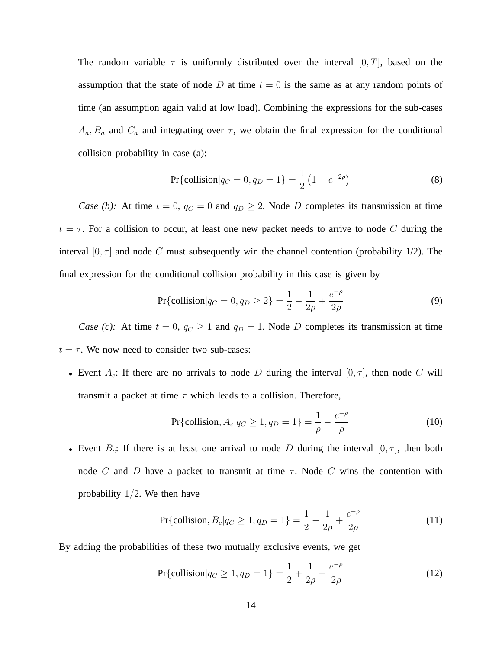The random variable  $\tau$  is uniformly distributed over the interval  $[0, T]$ , based on the assumption that the state of node D at time  $t = 0$  is the same as at any random points of time (an assumption again valid at low load). Combining the expressions for the sub-cases  $A_a, B_a$  and  $C_a$  and integrating over  $\tau$ , we obtain the final expression for the conditional collision probability in case (a):

$$
Pr{collision|q_C = 0, q_D = 1} = \frac{1}{2} (1 - e^{-2\rho})
$$
\n(8)

*Case (b):* At time  $t = 0$ ,  $q_C = 0$  and  $q_D \ge 2$ . Node D completes its transmission at time  $t = \tau$ . For a collision to occur, at least one new packet needs to arrive to node C during the interval  $[0, \tau]$  and node C must subsequently win the channel contention (probability 1/2). The final expression for the conditional collision probability in this case is given by

$$
\Pr\{\text{collision}|q_C = 0, q_D \ge 2\} = \frac{1}{2} - \frac{1}{2\rho} + \frac{e^{-\rho}}{2\rho} \tag{9}
$$

*Case (c):* At time  $t = 0$ ,  $q_C \ge 1$  and  $q_D = 1$ . Node D completes its transmission at time  $t = \tau$ . We now need to consider two sub-cases:

• Event  $A_c$ : If there are no arrivals to node D during the interval  $[0, \tau]$ , then node C will transmit a packet at time  $\tau$  which leads to a collision. Therefore,

$$
\Pr\{\text{collision}, A_c | q_C \ge 1, q_D = 1\} = \frac{1}{\rho} - \frac{e^{-\rho}}{\rho} \tag{10}
$$

• Event  $B_c$ : If there is at least one arrival to node D during the interval  $[0, \tau]$ , then both node C and D have a packet to transmit at time  $\tau$ . Node C wins the contention with probability  $1/2$ . We then have

$$
\Pr\{\text{collision}, B_c|q_C \ge 1, q_D = 1\} = \frac{1}{2} - \frac{1}{2\rho} + \frac{e^{-\rho}}{2\rho} \tag{11}
$$

By adding the probabilities of these two mutually exclusive events, we get

$$
\Pr\{\text{collision}|q_C \ge 1, q_D = 1\} = \frac{1}{2} + \frac{1}{2\rho} - \frac{e^{-\rho}}{2\rho} \tag{12}
$$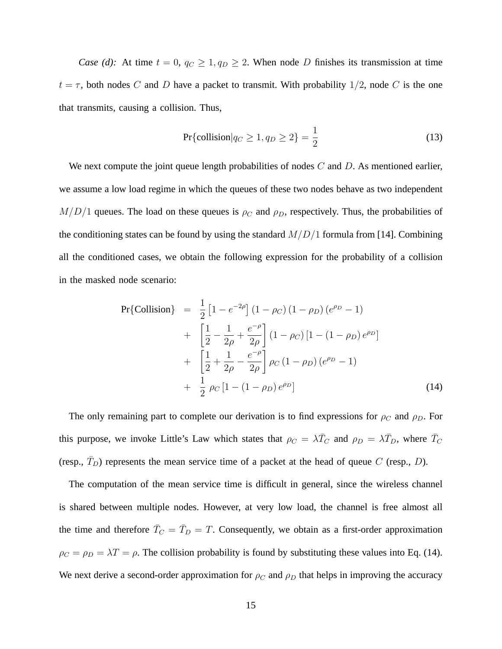*Case (d):* At time  $t = 0$ ,  $q_C \ge 1$ ,  $q_D \ge 2$ . When node D finishes its transmission at time  $t = \tau$ , both nodes C and D have a packet to transmit. With probability 1/2, node C is the one that transmits, causing a collision. Thus,

$$
\Pr\{\text{collision}|q_C \ge 1, q_D \ge 2\} = \frac{1}{2} \tag{13}
$$

We next compute the joint queue length probabilities of nodes  $C$  and  $D$ . As mentioned earlier, we assume a low load regime in which the queues of these two nodes behave as two independent  $M/D/1$  queues. The load on these queues is  $\rho_C$  and  $\rho_D$ , respectively. Thus, the probabilities of the conditioning states can be found by using the standard  $M/D/1$  formula from [14]. Combining all the conditioned cases, we obtain the following expression for the probability of a collision in the masked node scenario:

$$
\Pr\{\text{Collision}\} = \frac{1}{2} \left[ 1 - e^{-2\rho} \right] (1 - \rho_C) (1 - \rho_D) (e^{\rho_D} - 1) \n+ \left[ \frac{1}{2} - \frac{1}{2\rho} + \frac{e^{-\rho}}{2\rho} \right] (1 - \rho_C) [1 - (1 - \rho_D) e^{\rho_D}] \n+ \left[ \frac{1}{2} + \frac{1}{2\rho} - \frac{e^{-\rho}}{2\rho} \right] \rho_C (1 - \rho_D) (e^{\rho_D} - 1) \n+ \frac{1}{2} \rho_C [1 - (1 - \rho_D) e^{\rho_D}]
$$
\n(14)

The only remaining part to complete our derivation is to find expressions for  $\rho_C$  and  $\rho_D$ . For this purpose, we invoke Little's Law which states that  $\rho_C = \lambda \bar{T}_C$  and  $\rho_D = \lambda \bar{T}_D$ , where  $\bar{T}_C$ (resp.,  $\bar{T}_D$ ) represents the mean service time of a packet at the head of queue C (resp., D).

The computation of the mean service time is difficult in general, since the wireless channel is shared between multiple nodes. However, at very low load, the channel is free almost all the time and therefore  $\bar{T}_C = \bar{T}_D = T$ . Consequently, we obtain as a first-order approximation  $\rho_C = \rho_D = \lambda T = \rho$ . The collision probability is found by substituting these values into Eq. (14). We next derive a second-order approximation for  $\rho_C$  and  $\rho_D$  that helps in improving the accuracy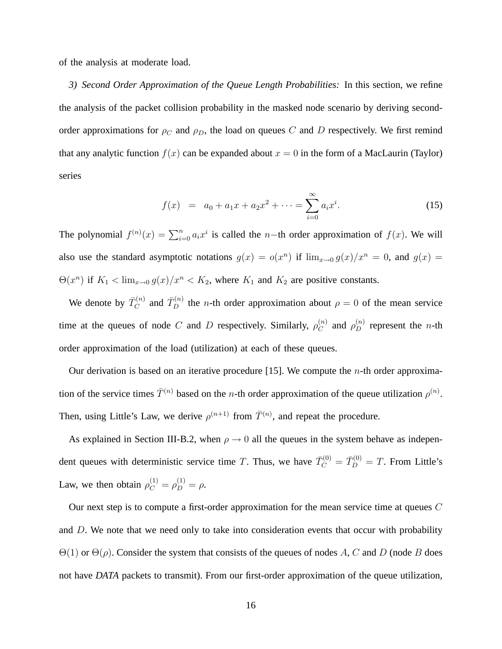of the analysis at moderate load.

*3) Second Order Approximation of the Queue Length Probabilities:* In this section, we refine the analysis of the packet collision probability in the masked node scenario by deriving secondorder approximations for  $\rho_C$  and  $\rho_D$ , the load on queues C and D respectively. We first remind that any analytic function  $f(x)$  can be expanded about  $x = 0$  in the form of a MacLaurin (Taylor) series

$$
f(x) = a_0 + a_1 x + a_2 x^2 + \dots = \sum_{i=0}^{\infty} a_i x^i.
$$
 (15)

The polynomial  $f^{(n)}(x) = \sum_{i=0}^{n} a_i x^i$  is called the *n*-th order approximation of  $f(x)$ . We will also use the standard asymptotic notations  $g(x) = o(x^n)$  if  $\lim_{x\to 0} g(x)/x^n = 0$ , and  $g(x) = 0$  $\Theta(x^n)$  if  $K_1 < \lim_{x\to 0} g(x)/x^n < K_2$ , where  $K_1$  and  $K_2$  are positive constants.

We denote by  $\bar{T}_C^{(n)}$  $C^{(n)}$  and  $\bar{T}_{D}^{(n)}$  the *n*-th order approximation about  $\rho = 0$  of the mean service time at the queues of node C and D respectively. Similarly,  $\rho_C^{(n)}$  $\mathcal{C}^{(n)}$  and  $\rho_D^{(n)}$  represent the *n*-th order approximation of the load (utilization) at each of these queues.

Our derivation is based on an iterative procedure  $[15]$ . We compute the *n*-th order approximation of the service times  $\bar{T}^{(n)}$  based on the *n*-th order approximation of the queue utilization  $\rho^{(n)}$ . Then, using Little's Law, we derive  $\rho^{(n+1)}$  from  $\overline{T}^{(n)}$ , and repeat the procedure.

As explained in Section III-B.2, when  $\rho \rightarrow 0$  all the queues in the system behave as independent queues with deterministic service time T. Thus, we have  $\bar{T}_C^{(0)} = \bar{T}_D^{(0)} = T$ . From Little's Law, we then obtain  $\rho_C^{(1)} = \rho_D^{(1)} = \rho$ .

Our next step is to compute a first-order approximation for the mean service time at queues  $C$ and  $D$ . We note that we need only to take into consideration events that occur with probability  $\Theta(1)$  or  $\Theta(\rho)$ . Consider the system that consists of the queues of nodes A, C and D (node B does not have *DATA* packets to transmit). From our first-order approximation of the queue utilization,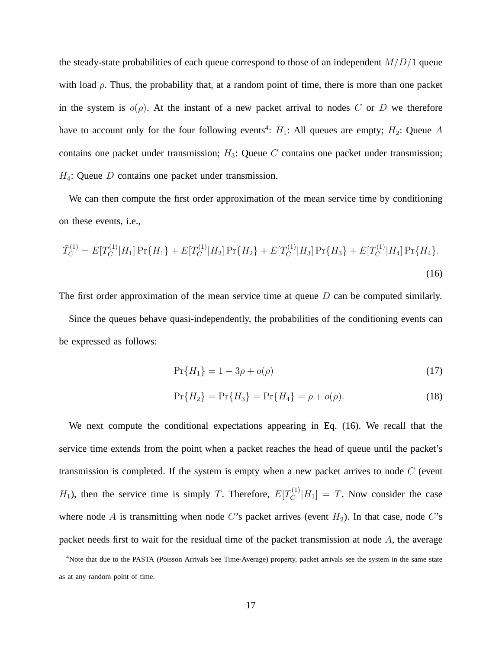the steady-state probabilities of each queue correspond to those of an independent  $M/D/1$  queue with load  $\rho$ . Thus, the probability that, at a random point of time, there is more than one packet in the system is  $o(\rho)$ . At the instant of a new packet arrival to nodes C or D we therefore have to account only for the four following events<sup>4</sup>:  $H_1$ : All queues are empty;  $H_2$ : Queue A contains one packet under transmission;  $H_3$ : Queue C contains one packet under transmission;  $H_4$ : Queue  $D$  contains one packet under transmission.

We can then compute the first order approximation of the mean service time by conditioning on these events, i.e.,

$$
\bar{T}_C^{(1)} = E[T_C^{(1)}|H_1] \Pr\{H_1\} + E[T_C^{(1)}|H_2] \Pr\{H_2\} + E[T_C^{(1)}|H_3] \Pr\{H_3\} + E[T_C^{(1)}|H_4] \Pr\{H_4\}.
$$
\n(16)

The first order approximation of the mean service time at queue  $D$  can be computed similarly.

Since the queues behave quasi-independently, the probabilities of the conditioning events can be expressed as follows:

$$
\Pr\{H_1\} = 1 - 3\rho + o(\rho) \tag{17}
$$

$$
\Pr\{H_2\} = \Pr\{H_3\} = \Pr\{H_4\} = \rho + o(\rho). \tag{18}
$$

We next compute the conditional expectations appearing in Eq. (16). We recall that the service time extends from the point when a packet reaches the head of queue until the packet's transmission is completed. If the system is empty when a new packet arrives to node  $C$  (event  $H_1$ ), then the service time is simply T. Therefore,  $E[T_C^{(1)}]$  $\binom{N^{(1)}}{C}$   $[H_1] = T$ . Now consider the case where node A is transmitting when node C's packet arrives (event  $H_2$ ). In that case, node C's packet needs first to wait for the residual time of the packet transmission at node A, the average

<sup>4</sup>Note that due to the PASTA (Poisson Arrivals See Time-Average) property, packet arrivals see the system in the same state as at any random point of time.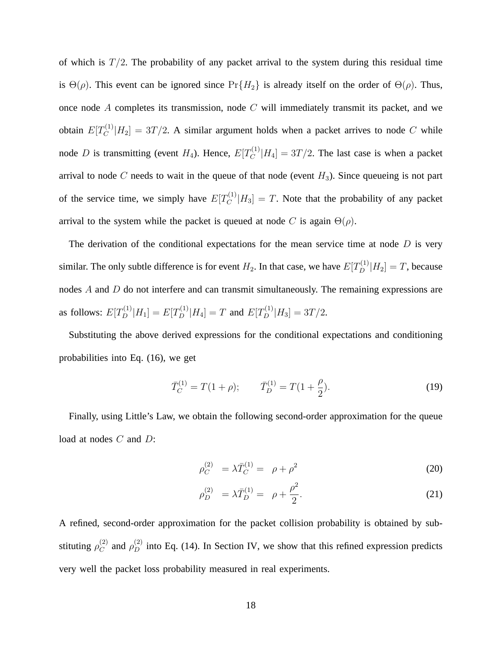of which is  $T/2$ . The probability of any packet arrival to the system during this residual time is  $\Theta(\rho)$ . This event can be ignored since  $Pr\{H_2\}$  is already itself on the order of  $\Theta(\rho)$ . Thus, once node A completes its transmission, node C will immediately transmit its packet, and we obtain  $E[T_C^{(1)}]$  $|C|^{(1)}|H_2| = 3T/2$ . A similar argument holds when a packet arrives to node C while node D is transmitting (event  $H_4$ ). Hence,  $E[T_C^{(1)}]$  $|C|^{(1)}|H_4] = 3T/2$ . The last case is when a packet arrival to node  $C$  needs to wait in the queue of that node (event  $H_3$ ). Since queueing is not part of the service time, we simply have  $E[T_C^{(1)}]$  $\binom{[1]}{C}$   $[H_3] = T$ . Note that the probability of any packet arrival to the system while the packet is queued at node C is again  $\Theta(\rho)$ .

The derivation of the conditional expectations for the mean service time at node  $D$  is very similar. The only subtle difference is for event  $H_2$ . In that case, we have  $E[T_D^{(1)}|H_2] = T$ , because nodes A and D do not interfere and can transmit simultaneously. The remaining expressions are as follows:  $E[T_D^{(1)}|H_1] = E[T_D^{(1)}|H_4] = T$  and  $E[T_D^{(1)}|H_3] = 3T/2$ .

Substituting the above derived expressions for the conditional expectations and conditioning probabilities into Eq. (16), we get

$$
\bar{T}_C^{(1)} = T(1+\rho); \qquad \bar{T}_D^{(1)} = T(1+\frac{\rho}{2}). \tag{19}
$$

Finally, using Little's Law, we obtain the following second-order approximation for the queue load at nodes  $C$  and  $D$ :

$$
\rho_C^{(2)} = \lambda \bar{T}_C^{(1)} = \rho + \rho^2 \tag{20}
$$

$$
\rho_D^{(2)} = \lambda \bar{T}_D^{(1)} = \rho + \frac{\rho^2}{2}.
$$
\n(21)

A refined, second-order approximation for the packet collision probability is obtained by substituting  $\rho_C^{(2)}$  $C^{(2)}_{C}$  and  $\rho_D^{(2)}$  into Eq. (14). In Section IV, we show that this refined expression predicts very well the packet loss probability measured in real experiments.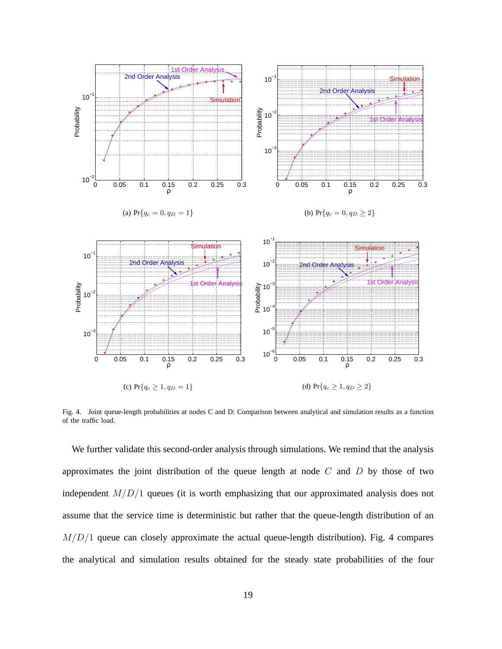

Fig. 4. Joint queue-length probabilities at nodes C and D: Comparison between analytical and simulation results as a function of the traffic load.

We further validate this second-order analysis through simulations. We remind that the analysis approximates the joint distribution of the queue length at node  $C$  and  $D$  by those of two independent  $M/D/1$  queues (it is worth emphasizing that our approximated analysis does not assume that the service time is deterministic but rather that the queue-length distribution of an  $M/D/1$  queue can closely approximate the actual queue-length distribution). Fig. 4 compares the analytical and simulation results obtained for the steady state probabilities of the four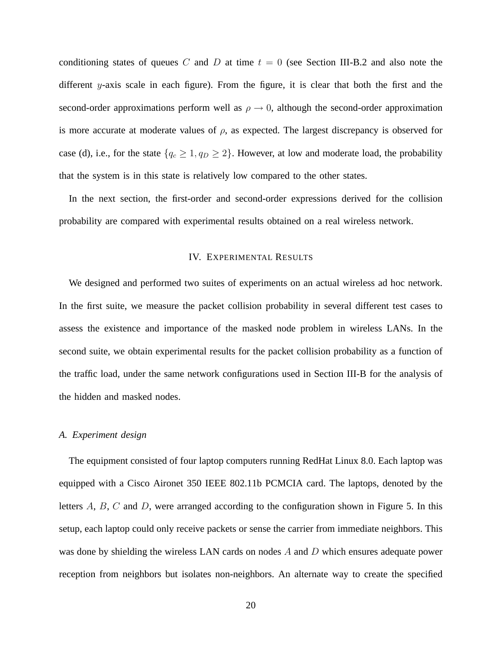conditioning states of queues C and D at time  $t = 0$  (see Section III-B.2 and also note the different y-axis scale in each figure). From the figure, it is clear that both the first and the second-order approximations perform well as  $\rho \rightarrow 0$ , although the second-order approximation is more accurate at moderate values of  $\rho$ , as expected. The largest discrepancy is observed for case (d), i.e., for the state  $\{q_c \geq 1, q_D \geq 2\}$ . However, at low and moderate load, the probability that the system is in this state is relatively low compared to the other states.

In the next section, the first-order and second-order expressions derived for the collision probability are compared with experimental results obtained on a real wireless network.

## IV. EXPERIMENTAL RESULTS

We designed and performed two suites of experiments on an actual wireless ad hoc network. In the first suite, we measure the packet collision probability in several different test cases to assess the existence and importance of the masked node problem in wireless LANs. In the second suite, we obtain experimental results for the packet collision probability as a function of the traffic load, under the same network configurations used in Section III-B for the analysis of the hidden and masked nodes.

### *A. Experiment design*

The equipment consisted of four laptop computers running RedHat Linux 8.0. Each laptop was equipped with a Cisco Aironet 350 IEEE 802.11b PCMCIA card. The laptops, denoted by the letters A, B, C and D, were arranged according to the configuration shown in Figure 5. In this setup, each laptop could only receive packets or sense the carrier from immediate neighbors. This was done by shielding the wireless LAN cards on nodes A and D which ensures adequate power reception from neighbors but isolates non-neighbors. An alternate way to create the specified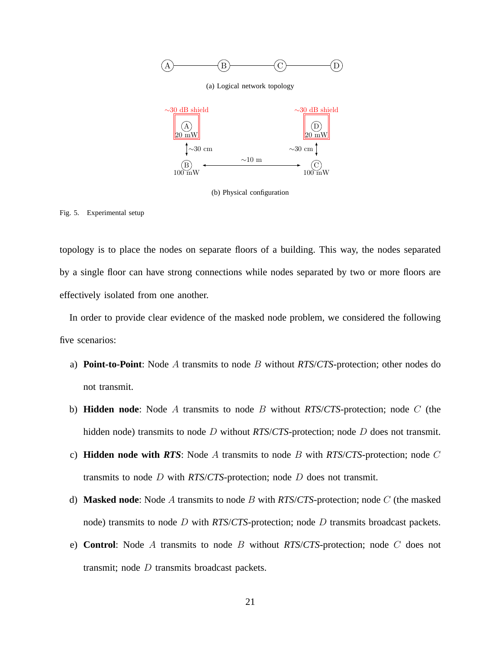

(a) Logical network topology



(b) Physical configuration

Fig. 5. Experimental setup

topology is to place the nodes on separate floors of a building. This way, the nodes separated by a single floor can have strong connections while nodes separated by two or more floors are effectively isolated from one another.

In order to provide clear evidence of the masked node problem, we considered the following five scenarios:

- a) **Point-to-Point**: Node A transmits to node B without *RTS*/*CTS*-protection; other nodes do not transmit.
- b) **Hidden node**: Node A transmits to node B without *RTS*/*CTS*-protection; node C (the hidden node) transmits to node *D* without *RTS/CTS*-protection; node *D* does not transmit.
- c) **Hidden node with** *RTS*: Node A transmits to node B with *RTS*/*CTS*-protection; node C transmits to node D with *RTS*/*CTS*-protection; node D does not transmit.
- d) **Masked node**: Node A transmits to node B with *RTS*/*CTS*-protection; node C (the masked node) transmits to node D with *RTS*/*CTS*-protection; node D transmits broadcast packets.
- e) **Control**: Node A transmits to node B without *RTS*/*CTS*-protection; node C does not transmit; node D transmits broadcast packets.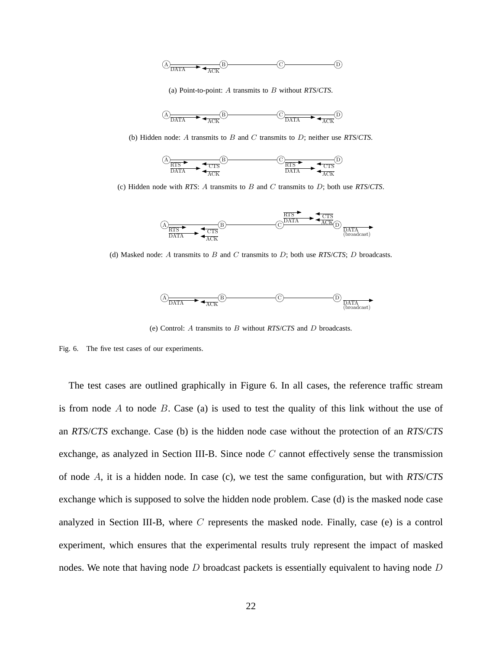

(a) Point-to-point: A transmits to B without *RTS*/*CTS*.

$$
\textcircled{A}_{\overline{\text{DATA}}} \longrightarrow \textcircled{A}_{\overline{\text{ACK}}} \textcircled{B} \longrightarrow \textcircled{C}_{\overline{\text{DATA}}} \longrightarrow \textcircled{A}_{\overline{\text{ACK}}} \textcircled{D}
$$

(b) Hidden node: A transmits to B and C transmits to D; neither use *RTS*/*CTS*.

$$
\underbrace{\text{A}}_{\overline{\text{RTS}}^{\bullet}} \longrightarrow \underbrace{\underbrace{\text{CTS}}_{\text{GTS}} \text{B}}_{\overline{\text{ACK}}} \longrightarrow \underbrace{\text{C}}_{\overline{\text{BATS}}^{\bullet}} \longrightarrow \underbrace{\text{CTS}}_{\overline{\text{ACK}}} \text{D}
$$

(c) Hidden node with *RTS*: A transmits to B and C transmits to D; both use *RTS*/*CTS*.



(d) Masked node: A transmits to B and C transmits to D; both use *RTS*/*CTS*; D broadcasts.



(e) Control: A transmits to B without *RTS*/*CTS* and D broadcasts.

Fig. 6. The five test cases of our experiments.

The test cases are outlined graphically in Figure 6. In all cases, the reference traffic stream is from node A to node B. Case (a) is used to test the quality of this link without the use of an *RTS*/*CTS* exchange. Case (b) is the hidden node case without the protection of an *RTS*/*CTS* exchange, as analyzed in Section III-B. Since node  $C$  cannot effectively sense the transmission of node A, it is a hidden node. In case (c), we test the same configuration, but with *RTS*/*CTS* exchange which is supposed to solve the hidden node problem. Case (d) is the masked node case analyzed in Section III-B, where  $C$  represents the masked node. Finally, case (e) is a control experiment, which ensures that the experimental results truly represent the impact of masked nodes. We note that having node  $D$  broadcast packets is essentially equivalent to having node  $D$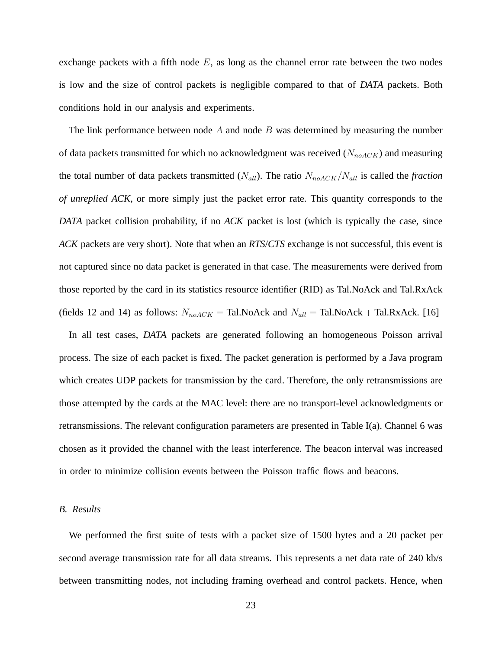exchange packets with a fifth node  $E$ , as long as the channel error rate between the two nodes is low and the size of control packets is negligible compared to that of *DATA* packets. Both conditions hold in our analysis and experiments.

The link performance between node  $A$  and node  $B$  was determined by measuring the number of data packets transmitted for which no acknowledgment was received  $(N_{noACK})$  and measuring the total number of data packets transmitted  $(N_{all})$ . The ratio  $N_{noACK}/N_{all}$  is called the *fraction of unreplied ACK*, or more simply just the packet error rate. This quantity corresponds to the *DATA* packet collision probability, if no *ACK* packet is lost (which is typically the case, since *ACK* packets are very short). Note that when an *RTS*/*CTS* exchange is not successful, this event is not captured since no data packet is generated in that case. The measurements were derived from those reported by the card in its statistics resource identifier (RID) as Tal.NoAck and Tal.RxAck (fields 12 and 14) as follows:  $N_{noACK} =$  Tal.NoAck and  $N_{all} =$  Tal.NoAck + Tal.RxAck. [16]

In all test cases, *DATA* packets are generated following an homogeneous Poisson arrival process. The size of each packet is fixed. The packet generation is performed by a Java program which creates UDP packets for transmission by the card. Therefore, the only retransmissions are those attempted by the cards at the MAC level: there are no transport-level acknowledgments or retransmissions. The relevant configuration parameters are presented in Table I(a). Channel 6 was chosen as it provided the channel with the least interference. The beacon interval was increased in order to minimize collision events between the Poisson traffic flows and beacons.

## *B. Results*

We performed the first suite of tests with a packet size of 1500 bytes and a 20 packet per second average transmission rate for all data streams. This represents a net data rate of 240 kb/s between transmitting nodes, not including framing overhead and control packets. Hence, when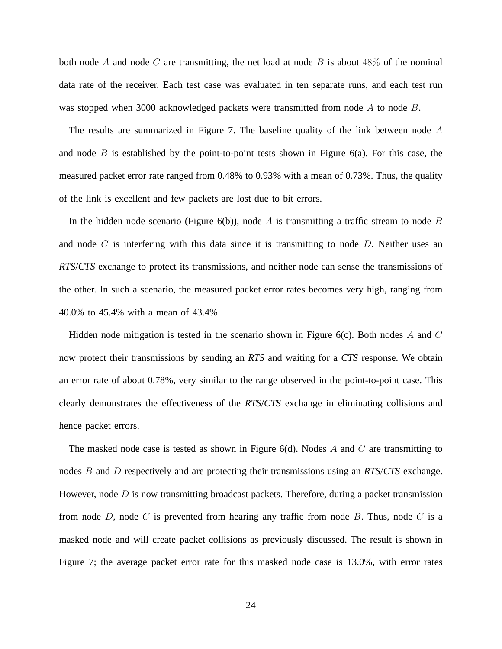both node A and node C are transmitting, the net load at node B is about  $48\%$  of the nominal data rate of the receiver. Each test case was evaluated in ten separate runs, and each test run was stopped when 3000 acknowledged packets were transmitted from node A to node B.

The results are summarized in Figure 7. The baseline quality of the link between node A and node  $B$  is established by the point-to-point tests shown in Figure 6(a). For this case, the measured packet error rate ranged from 0.48% to 0.93% with a mean of 0.73%. Thus, the quality of the link is excellent and few packets are lost due to bit errors.

In the hidden node scenario (Figure 6(b)), node A is transmitting a traffic stream to node B and node  $C$  is interfering with this data since it is transmitting to node  $D$ . Neither uses an *RTS*/*CTS* exchange to protect its transmissions, and neither node can sense the transmissions of the other. In such a scenario, the measured packet error rates becomes very high, ranging from 40.0% to 45.4% with a mean of 43.4%

Hidden node mitigation is tested in the scenario shown in Figure 6(c). Both nodes A and C now protect their transmissions by sending an *RTS* and waiting for a *CTS* response. We obtain an error rate of about 0.78%, very similar to the range observed in the point-to-point case. This clearly demonstrates the effectiveness of the *RTS*/*CTS* exchange in eliminating collisions and hence packet errors.

The masked node case is tested as shown in Figure  $6(d)$ . Nodes A and C are transmitting to nodes B and D respectively and are protecting their transmissions using an *RTS*/*CTS* exchange. However, node  $D$  is now transmitting broadcast packets. Therefore, during a packet transmission from node D, node C is prevented from hearing any traffic from node B. Thus, node C is a masked node and will create packet collisions as previously discussed. The result is shown in Figure 7; the average packet error rate for this masked node case is 13.0%, with error rates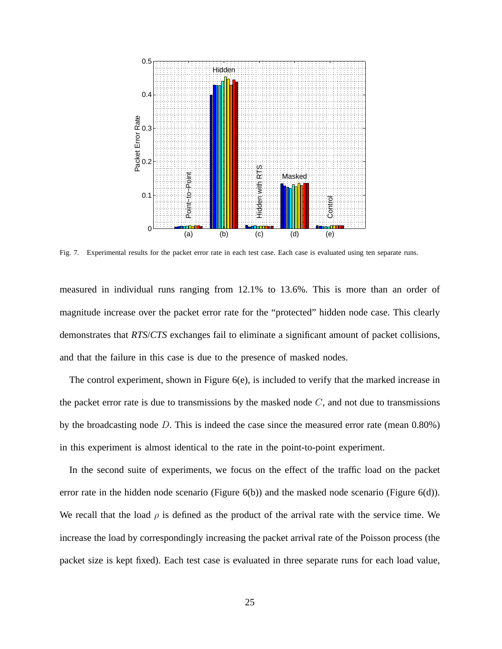

Fig. 7. Experimental results for the packet error rate in each test case. Each case is evaluated using ten separate runs.

measured in individual runs ranging from 12.1% to 13.6%. This is more than an order of magnitude increase over the packet error rate for the "protected" hidden node case. This clearly demonstrates that *RTS*/*CTS* exchanges fail to eliminate a significant amount of packet collisions, and that the failure in this case is due to the presence of masked nodes.

The control experiment, shown in Figure 6(e), is included to verify that the marked increase in the packet error rate is due to transmissions by the masked node  $C$ , and not due to transmissions by the broadcasting node D. This is indeed the case since the measured error rate (mean 0.80%) in this experiment is almost identical to the rate in the point-to-point experiment.

In the second suite of experiments, we focus on the effect of the traffic load on the packet error rate in the hidden node scenario (Figure  $6(b)$ ) and the masked node scenario (Figure  $6(d)$ ). We recall that the load  $\rho$  is defined as the product of the arrival rate with the service time. We increase the load by correspondingly increasing the packet arrival rate of the Poisson process (the packet size is kept fixed). Each test case is evaluated in three separate runs for each load value,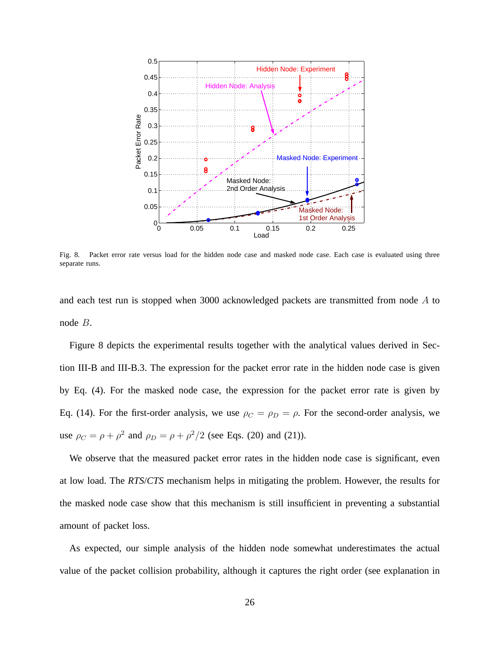

Fig. 8. Packet error rate versus load for the hidden node case and masked node case. Each case is evaluated using three separate runs.

and each test run is stopped when 3000 acknowledged packets are transmitted from node A to node B.

Figure 8 depicts the experimental results together with the analytical values derived in Section III-B and III-B.3. The expression for the packet error rate in the hidden node case is given by Eq. (4). For the masked node case, the expression for the packet error rate is given by Eq. (14). For the first-order analysis, we use  $\rho_C = \rho_D = \rho$ . For the second-order analysis, we use  $\rho_C = \rho + \rho^2$  and  $\rho_D = \rho + \rho^2/2$  (see Eqs. (20) and (21)).

We observe that the measured packet error rates in the hidden node case is significant, even at low load. The *RTS*/*CTS* mechanism helps in mitigating the problem. However, the results for the masked node case show that this mechanism is still insufficient in preventing a substantial amount of packet loss.

As expected, our simple analysis of the hidden node somewhat underestimates the actual value of the packet collision probability, although it captures the right order (see explanation in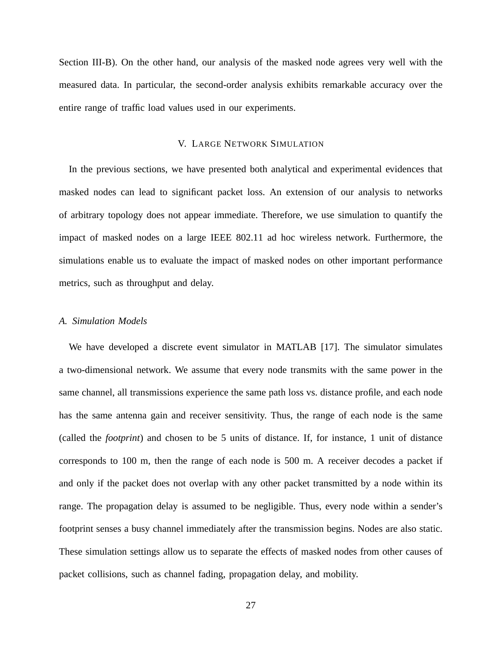Section III-B). On the other hand, our analysis of the masked node agrees very well with the measured data. In particular, the second-order analysis exhibits remarkable accuracy over the entire range of traffic load values used in our experiments.

## V. LARGE NETWORK SIMULATION

In the previous sections, we have presented both analytical and experimental evidences that masked nodes can lead to significant packet loss. An extension of our analysis to networks of arbitrary topology does not appear immediate. Therefore, we use simulation to quantify the impact of masked nodes on a large IEEE 802.11 ad hoc wireless network. Furthermore, the simulations enable us to evaluate the impact of masked nodes on other important performance metrics, such as throughput and delay.

## *A. Simulation Models*

We have developed a discrete event simulator in MATLAB [17]. The simulator simulates a two-dimensional network. We assume that every node transmits with the same power in the same channel, all transmissions experience the same path loss vs. distance profile, and each node has the same antenna gain and receiver sensitivity. Thus, the range of each node is the same (called the *footprint*) and chosen to be 5 units of distance. If, for instance, 1 unit of distance corresponds to 100 m, then the range of each node is 500 m. A receiver decodes a packet if and only if the packet does not overlap with any other packet transmitted by a node within its range. The propagation delay is assumed to be negligible. Thus, every node within a sender's footprint senses a busy channel immediately after the transmission begins. Nodes are also static. These simulation settings allow us to separate the effects of masked nodes from other causes of packet collisions, such as channel fading, propagation delay, and mobility.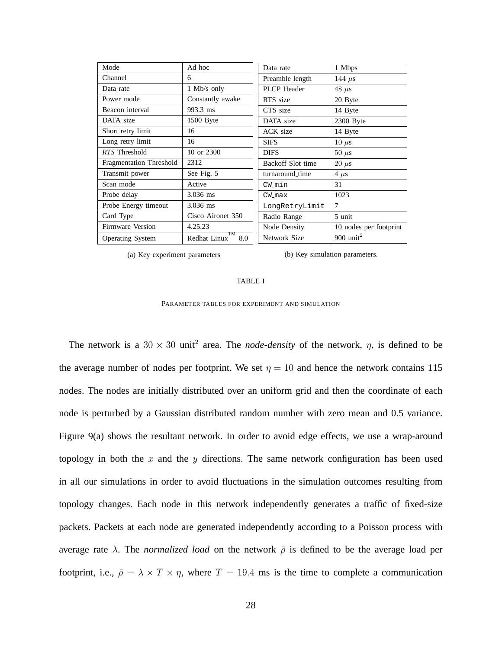| Mode                           | Ad hoc                    | Data rate                | 1 Mbps                 |
|--------------------------------|---------------------------|--------------------------|------------------------|
| Channel                        | 6                         | Preamble length          | 144 $\mu$ s            |
| Data rate                      | 1 Mb/s only               | <b>PLCP</b> Header       | $48 \ \mu s$           |
| Power mode                     | Constantly awake          | RTS size                 | 20 Byte                |
| Beacon interval                | 993.3 ms                  | CTS size                 | 14 Byte                |
| DATA size                      | 1500 Byte                 | DATA size                | 2300 Byte              |
| Short retry limit              | 16                        | <b>ACK</b> size          | 14 Byte                |
| Long retry limit               | 16                        | <b>SIFS</b>              | $10 \mu s$             |
| RTS Threshold                  | 10 or 2300                | <b>DIFS</b>              | $50 \ \mu s$           |
| <b>Fragmentation Threshold</b> | 2312                      | <b>Backoff Slot_time</b> | $20 \ \mu s$           |
| Transmit power                 | See Fig. 5                | turnaround_time          | $4 \mu s$              |
| Scan mode                      | Active                    | $CW$ $min$               | 31                     |
| Probe delay                    | 3.036 ms                  | $CW\_max$                | 1023                   |
| Probe Energy timeout           | 3.036 ms                  | LongRetryLimit           | 7                      |
| Card Type                      | Cisco Aironet 350         | Radio Range              | 5 unit                 |
| Firmware Version               | 4.25.23                   | Node Density             | 10 nodes per footprint |
| <b>Operating System</b>        | TМ<br>8.0<br>Redhat Linux | Network Size             | 900 unit $^2$          |

(a) Key experiment parameters

(b) Key simulation parameters.

#### TABLE I

PARAMETER TABLES FOR EXPERIMENT AND SIMULATION

The network is a  $30 \times 30$  unit<sup>2</sup> area. The *node-density* of the network,  $\eta$ , is defined to be the average number of nodes per footprint. We set  $\eta = 10$  and hence the network contains 115 nodes. The nodes are initially distributed over an uniform grid and then the coordinate of each node is perturbed by a Gaussian distributed random number with zero mean and 0.5 variance. Figure 9(a) shows the resultant network. In order to avoid edge effects, we use a wrap-around topology in both the  $x$  and the  $y$  directions. The same network configuration has been used in all our simulations in order to avoid fluctuations in the simulation outcomes resulting from topology changes. Each node in this network independently generates a traffic of fixed-size packets. Packets at each node are generated independently according to a Poisson process with average rate  $\lambda$ . The *normalized load* on the network  $\bar{\rho}$  is defined to be the average load per footprint, i.e.,  $\bar{\rho} = \lambda \times T \times \eta$ , where  $T = 19.4$  ms is the time to complete a communication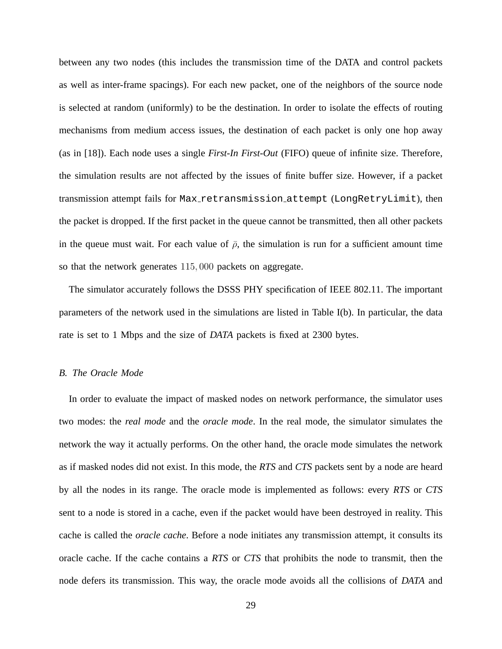between any two nodes (this includes the transmission time of the DATA and control packets as well as inter-frame spacings). For each new packet, one of the neighbors of the source node is selected at random (uniformly) to be the destination. In order to isolate the effects of routing mechanisms from medium access issues, the destination of each packet is only one hop away (as in [18]). Each node uses a single *First-In First-Out* (FIFO) queue of infinite size. Therefore, the simulation results are not affected by the issues of finite buffer size. However, if a packet transmission attempt fails for Max retransmission attempt (LongRetryLimit), then the packet is dropped. If the first packet in the queue cannot be transmitted, then all other packets in the queue must wait. For each value of  $\bar{\rho}$ , the simulation is run for a sufficient amount time so that the network generates 115, 000 packets on aggregate.

The simulator accurately follows the DSSS PHY specification of IEEE 802.11. The important parameters of the network used in the simulations are listed in Table I(b). In particular, the data rate is set to 1 Mbps and the size of *DATA* packets is fixed at 2300 bytes.

# *B. The Oracle Mode*

In order to evaluate the impact of masked nodes on network performance, the simulator uses two modes: the *real mode* and the *oracle mode*. In the real mode, the simulator simulates the network the way it actually performs. On the other hand, the oracle mode simulates the network as if masked nodes did not exist. In this mode, the *RTS* and *CTS* packets sent by a node are heard by all the nodes in its range. The oracle mode is implemented as follows: every *RTS* or *CTS* sent to a node is stored in a cache, even if the packet would have been destroyed in reality. This cache is called the *oracle cache*. Before a node initiates any transmission attempt, it consults its oracle cache. If the cache contains a *RTS* or *CTS* that prohibits the node to transmit, then the node defers its transmission. This way, the oracle mode avoids all the collisions of *DATA* and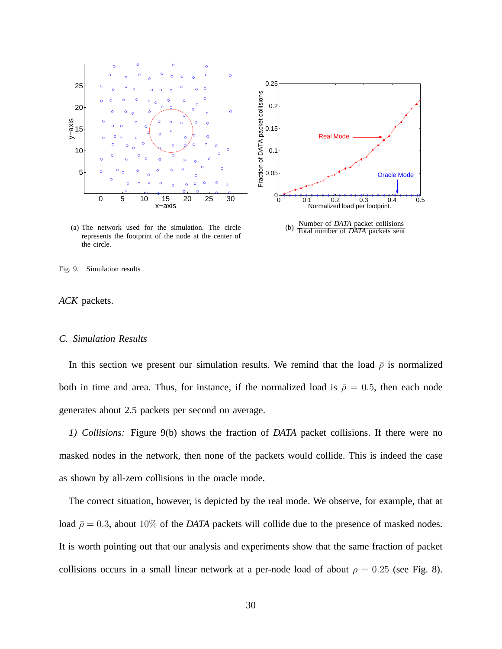

(a) The network used for the simulation. The circle represents the footprint of the node at the center of the circle.



Fig. 9. Simulation results

## *ACK* packets.

## *C. Simulation Results*

In this section we present our simulation results. We remind that the load  $\bar{\rho}$  is normalized both in time and area. Thus, for instance, if the normalized load is  $\bar{\rho} = 0.5$ , then each node generates about 2.5 packets per second on average.

*1) Collisions:* Figure 9(b) shows the fraction of *DATA* packet collisions. If there were no masked nodes in the network, then none of the packets would collide. This is indeed the case as shown by all-zero collisions in the oracle mode.

The correct situation, however, is depicted by the real mode. We observe, for example, that at load  $\bar{\rho} = 0.3$ , about 10% of the *DATA* packets will collide due to the presence of masked nodes. It is worth pointing out that our analysis and experiments show that the same fraction of packet collisions occurs in a small linear network at a per-node load of about  $\rho = 0.25$  (see Fig. 8).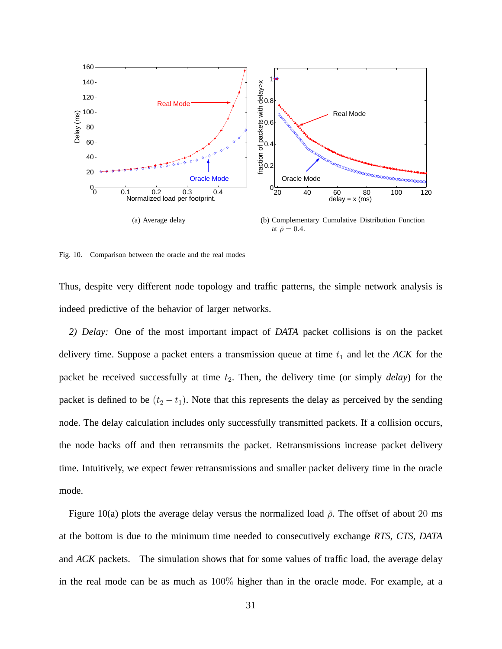

Fig. 10. Comparison between the oracle and the real modes

Thus, despite very different node topology and traffic patterns, the simple network analysis is indeed predictive of the behavior of larger networks.

*2) Delay:* One of the most important impact of *DATA* packet collisions is on the packet delivery time. Suppose a packet enters a transmission queue at time  $t_1$  and let the *ACK* for the packet be received successfully at time  $t_2$ . Then, the delivery time (or simply *delay*) for the packet is defined to be  $(t_2 - t_1)$ . Note that this represents the delay as perceived by the sending node. The delay calculation includes only successfully transmitted packets. If a collision occurs, the node backs off and then retransmits the packet. Retransmissions increase packet delivery time. Intuitively, we expect fewer retransmissions and smaller packet delivery time in the oracle mode.

Figure 10(a) plots the average delay versus the normalized load  $\bar{\rho}$ . The offset of about 20 ms at the bottom is due to the minimum time needed to consecutively exchange *RTS*, *CTS*, *DATA* and *ACK* packets. The simulation shows that for some values of traffic load, the average delay in the real mode can be as much as 100% higher than in the oracle mode. For example, at a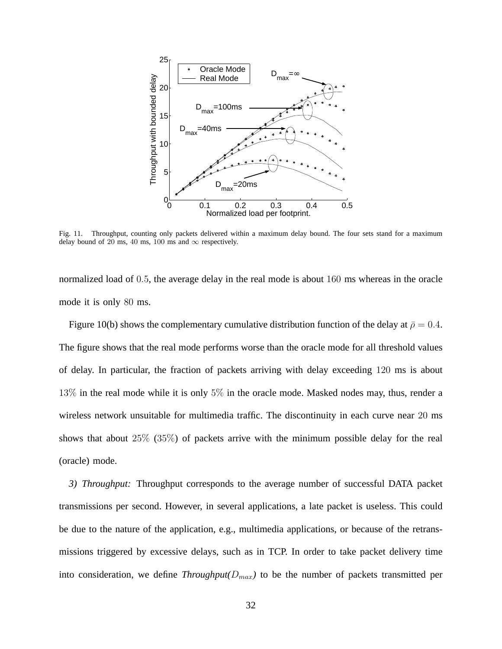

Fig. 11. Throughput, counting only packets delivered within a maximum delay bound. The four sets stand for a maximum delay bound of 20 ms, 40 ms, 100 ms and  $\infty$  respectively.

normalized load of 0.5, the average delay in the real mode is about 160 ms whereas in the oracle mode it is only 80 ms.

Figure 10(b) shows the complementary cumulative distribution function of the delay at  $\bar{\rho} = 0.4$ . The figure shows that the real mode performs worse than the oracle mode for all threshold values of delay. In particular, the fraction of packets arriving with delay exceeding 120 ms is about  $13\%$  in the real mode while it is only  $5\%$  in the oracle mode. Masked nodes may, thus, render a wireless network unsuitable for multimedia traffic. The discontinuity in each curve near 20 ms shows that about 25% (35%) of packets arrive with the minimum possible delay for the real (oracle) mode.

*3) Throughput:* Throughput corresponds to the average number of successful DATA packet transmissions per second. However, in several applications, a late packet is useless. This could be due to the nature of the application, e.g., multimedia applications, or because of the retransmissions triggered by excessive delays, such as in TCP. In order to take packet delivery time into consideration, we define  $Throughout(D_{max})$  to be the number of packets transmitted per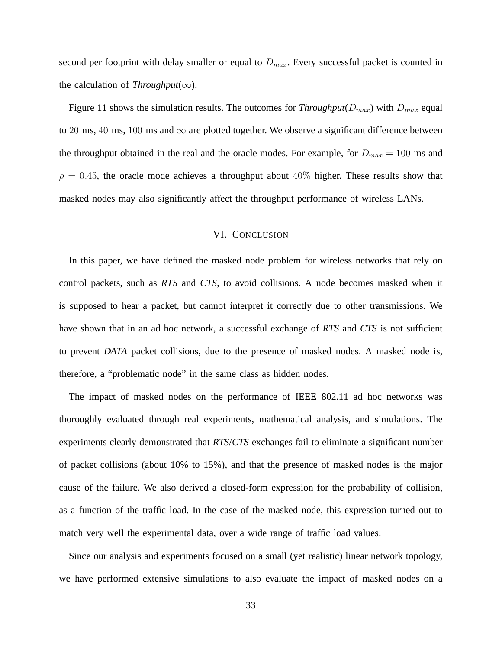second per footprint with delay smaller or equal to  $D_{max}$ . Every successful packet is counted in the calculation of *Throughput*( $\infty$ ).

Figure 11 shows the simulation results. The outcomes for *Throughput*( $D_{max}$ ) with  $D_{max}$  equal to 20 ms, 40 ms, 100 ms and  $\infty$  are plotted together. We observe a significant difference between the throughput obtained in the real and the oracle modes. For example, for  $D_{max} = 100$  ms and  $\bar{\rho}$  = 0.45, the oracle mode achieves a throughput about 40% higher. These results show that masked nodes may also significantly affect the throughput performance of wireless LANs.

# VI. CONCLUSION

In this paper, we have defined the masked node problem for wireless networks that rely on control packets, such as *RTS* and *CTS*, to avoid collisions. A node becomes masked when it is supposed to hear a packet, but cannot interpret it correctly due to other transmissions. We have shown that in an ad hoc network, a successful exchange of *RTS* and *CTS* is not sufficient to prevent *DATA* packet collisions, due to the presence of masked nodes. A masked node is, therefore, a "problematic node" in the same class as hidden nodes.

The impact of masked nodes on the performance of IEEE 802.11 ad hoc networks was thoroughly evaluated through real experiments, mathematical analysis, and simulations. The experiments clearly demonstrated that *RTS*/*CTS* exchanges fail to eliminate a significant number of packet collisions (about 10% to 15%), and that the presence of masked nodes is the major cause of the failure. We also derived a closed-form expression for the probability of collision, as a function of the traffic load. In the case of the masked node, this expression turned out to match very well the experimental data, over a wide range of traffic load values.

Since our analysis and experiments focused on a small (yet realistic) linear network topology, we have performed extensive simulations to also evaluate the impact of masked nodes on a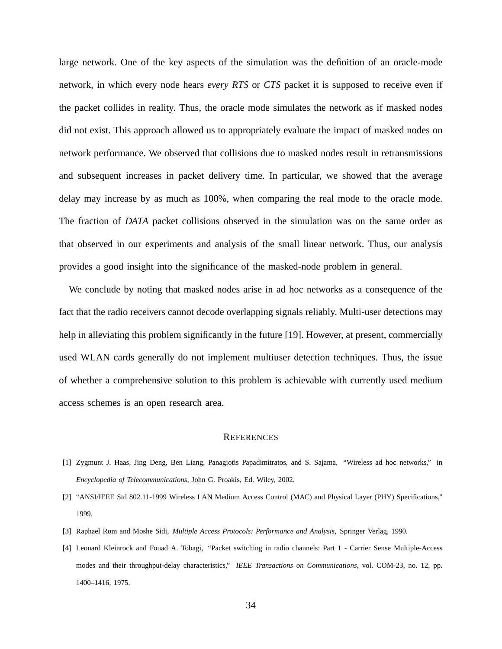large network. One of the key aspects of the simulation was the definition of an oracle-mode network, in which every node hears *every RTS* or *CTS* packet it is supposed to receive even if the packet collides in reality. Thus, the oracle mode simulates the network as if masked nodes did not exist. This approach allowed us to appropriately evaluate the impact of masked nodes on network performance. We observed that collisions due to masked nodes result in retransmissions and subsequent increases in packet delivery time. In particular, we showed that the average delay may increase by as much as 100%, when comparing the real mode to the oracle mode. The fraction of *DATA* packet collisions observed in the simulation was on the same order as that observed in our experiments and analysis of the small linear network. Thus, our analysis provides a good insight into the significance of the masked-node problem in general.

We conclude by noting that masked nodes arise in ad hoc networks as a consequence of the fact that the radio receivers cannot decode overlapping signals reliably. Multi-user detections may help in alleviating this problem significantly in the future [19]. However, at present, commercially used WLAN cards generally do not implement multiuser detection techniques. Thus, the issue of whether a comprehensive solution to this problem is achievable with currently used medium access schemes is an open research area.

### **REFERENCES**

- [1] Zygmunt J. Haas, Jing Deng, Ben Liang, Panagiotis Papadimitratos, and S. Sajama, "Wireless ad hoc networks," in *Encyclopedia of Telecommunications*, John G. Proakis, Ed. Wiley, 2002.
- [2] "ANSI/IEEE Std 802.11-1999 Wireless LAN Medium Access Control (MAC) and Physical Layer (PHY) Specifications," 1999.
- [3] Raphael Rom and Moshe Sidi, *Multiple Access Protocols: Performance and Analysis*, Springer Verlag, 1990.
- [4] Leonard Kleinrock and Fouad A. Tobagi, "Packet switching in radio channels: Part 1 Carrier Sense Multiple-Access modes and their throughput-delay characteristics," *IEEE Transactions on Communications*, vol. COM-23, no. 12, pp. 1400–1416, 1975.